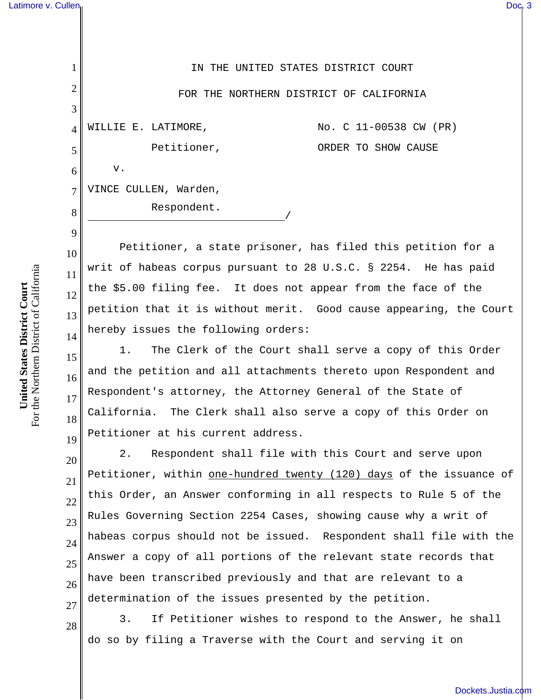|                | IN THE UNITED STATES DISTRICT COURT           |
|----------------|-----------------------------------------------|
| $\overline{2}$ | FOR THE NORTHERN DISTRICT OF CALIFORNIA       |
| 3              |                                               |
| $\overline{4}$ | No. C 11-00538 CW (PR)<br>WILLIE E. LATIMORE, |
| 5              | Petitioner,<br>ORDER TO SHOW CAUSE            |
| 6              | v.                                            |
| 7              | VINCE CULLEN, Warden,                         |
| 8              | Respondent.                                   |

Petitioner, a state prisoner, has filed this petition for a writ of habeas corpus pursuant to 28 U.S.C. § 2254. He has paid the \$5.00 filing fee. It does not appear from the face of the petition that it is without merit. Good cause appearing, the Court hereby issues the following orders:

16 1. The Clerk of the Court shall serve a copy of this Order and the petition and all attachments thereto upon Respondent and Respondent's attorney, the Attorney General of the State of California. The Clerk shall also serve a copy of this Order on Petitioner at his current address.

20 21 22 23 24 2. Respondent shall file with this Court and serve upon Petitioner, within one-hundred twenty (120) days of the issuance of this Order, an Answer conforming in all respects to Rule 5 of the Rules Governing Section 2254 Cases, showing cause why a writ of habeas corpus should not be issued. Respondent shall file with the Answer a copy of all portions of the relevant state records that have been transcribed previously and that are relevant to a determination of the issues presented by the petition.

3. If Petitioner wishes to respond to the Answer, he shall do so by filing a Traverse with the Court and serving it on

For the Northern District of California For the Northern District of California United States District Court **United States District Court**

9

10

11

12

13

14

15

17

18

19

28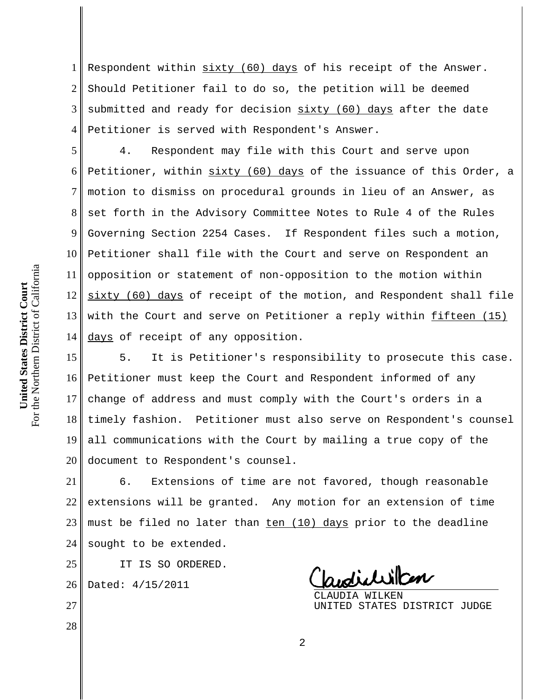1 2 3 4 Respondent within sixty (60) days of his receipt of the Answer. Should Petitioner fail to do so, the petition will be deemed submitted and ready for decision sixty (60) days after the date Petitioner is served with Respondent's Answer.

5 6 8 9 10 11 12 13 14 4. Respondent may file with this Court and serve upon Petitioner, within sixty (60) days of the issuance of this Order, a motion to dismiss on procedural grounds in lieu of an Answer, as set forth in the Advisory Committee Notes to Rule 4 of the Rules Governing Section 2254 Cases. If Respondent files such a motion, Petitioner shall file with the Court and serve on Respondent an opposition or statement of non-opposition to the motion within sixty (60) days of receipt of the motion, and Respondent shall file with the Court and serve on Petitioner a reply within fifteen (15) days of receipt of any opposition.

15 16 17 18 19 20 5. It is Petitioner's responsibility to prosecute this case. Petitioner must keep the Court and Respondent informed of any change of address and must comply with the Court's orders in a timely fashion. Petitioner must also serve on Respondent's counsel all communications with the Court by mailing a true copy of the document to Respondent's counsel.

21 22 23 24 6. Extensions of time are not favored, though reasonable extensions will be granted. Any motion for an extension of time must be filed no later than ten (10) days prior to the deadline sought to be extended.

IT IS SO ORDERED.

26 Dated: 4/15/2011

25

27

28

CLAUDIA WILKEN UNITED STATES DISTRICT JUDGE

7